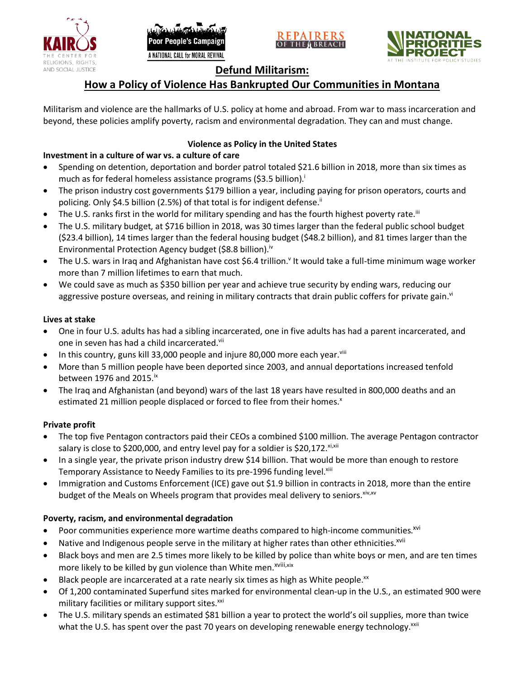





# **Defund Militarism:**

# **How a Policy of Violence Has Bankrupted Our Communities in Montana**

Militarism and violence are the hallmarks of U.S. policy at home and abroad. From war to mass incarceration and beyond, these policies amplify poverty, racism and environmental degradation. They can and must change.

# **Violence as Policy in the United States**

# **Investment in a culture of war vs. a culture of care**

- Spending on detention, deportation and border patrol totaled \$21.6 billion in 2018, more than six times as much as for federal homeless assistance programs (\$3.5 billion).<sup>i</sup>
- The prison industry cost governments \$179 billion a year, including paying for prison operators, courts and policing. Only \$4.5 billion (2.5%) of that total is for indigent defense.<sup>ii</sup>
- The U.S. ranks first in the world for military spending and has the fourth highest poverty rate.<sup>iii</sup>
- The U.S. military budget, at \$716 billion in 2018, was 30 times larger than the federal public school budget (\$23.4 billion), 14 times larger than the federal housing budget (\$48.2 billion), and 81 times larger than the Environmental Protection Agency budget (\$8.8 billion).<sup>iv</sup>
- The U.S. wars in Iraq and Afghanistan have cost \$6.4 trillion.<sup>v</sup> It would take a full-time minimum wage worker more than 7 million lifetimes to earn that much.
- We could save as much as \$350 billion per year and achieve true security by ending wars, reducing our aggressive posture overseas, and reining in military contracts that drain public coffers for private gain.<sup>vi</sup>

### **Lives at stake**

- One in four U.S. adults has had a sibling incarcerated, one in five adults has had a parent incarcerated, and one in seven has had a child incarcerated.vii
- In this country, guns kill 33,000 people and injure 80,000 more each year. $v_{\text{lin}}$
- More than 5 million people have been deported since 2003, and annual deportations increased tenfold between 1976 and 2015. $\mathrm{i}$ <sup>x</sup>
- The Iraq and Afghanistan (and beyond) wars of the last 18 years have resulted in 800,000 deaths and an estimated 21 million people displaced or forced to flee from their homes.<sup>x</sup>

# **Private profit**

- The top five Pentagon contractors paid their CEOs a combined \$100 million. The average Pentagon contractor salary is close to \$200,000, and entry level pay for a soldier is \$20,172. xi,xii
- In a single year, the private prison industry drew \$14 billion. That would be more than enough to restore Temporary Assistance to Needy Families to its pre-1996 funding level.<sup>xiii</sup>
- Immigration and Customs Enforcement (ICE) gave out \$1.9 billion in contracts in 2018, more than the entire budget of the Meals on Wheels program that provides meal delivery to seniors. Xiv, XV

# **Poverty, racism, and environmental degradation**

- Poor communities experience more wartime deaths compared to high-income communities.<sup>xvi</sup>
- Native and Indigenous people serve in the military at higher rates than other ethnicities.<sup>xvii</sup>
- Black boys and men are 2.5 times more likely to be killed by police than white boys or men, and are ten times more likely to be killed by gun violence than White men.<sup>xviii,xix</sup>
- Black people are incarcerated at a rate nearly six times as high as White people.<sup>xx</sup>
- Of 1,200 contaminated Superfund sites marked for environmental clean-up in the U.S., an estimated 900 were military facilities or military support sites.<sup>xxi</sup>
- The U.S. military spends an estimated \$81 billion a year to protect the world's oil supplies, more than twice what the U.S. has spent over the past 70 years on developing renewable energy technology.<sup>xxii</sup>